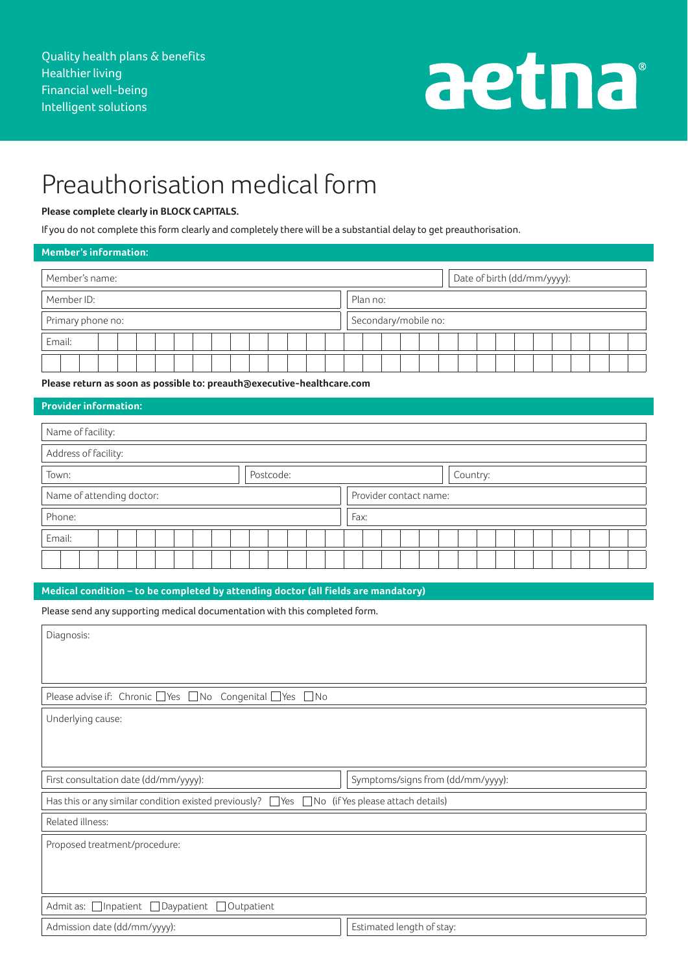# aetna

## Preauthorisation medical form

### **Please complete clearly in BLOCK CAPITALS.**

If you do not complete this form clearly and completely there will be a substantial delay to get preauthorisation.

#### **Member's information:**

| Member's name:    | Date of birth (dd/mm/yyyy): |
|-------------------|-----------------------------|
| Member ID:        | Plan no:                    |
| Primary phone no: | Secondary/mobile no:        |
| Email:            |                             |
|                   |                             |

**Please return as soon as possible to: preauth@executive-healthcare.com**

#### **Provider information:**

| Name of facility:         |           |                        |          |  |
|---------------------------|-----------|------------------------|----------|--|
| Address of facility:      |           |                        |          |  |
| Town:                     | Postcode: |                        | Country: |  |
| Name of attending doctor: |           | Provider contact name: |          |  |
| Phone:                    |           | Fax:                   |          |  |
| Email:                    |           |                        |          |  |
|                           |           |                        |          |  |

#### **Medical condition – to be completed by attending doctor (all fields are mandatory)**

Please send any supporting medical documentation with this completed form.

| Diagnosis:                                                                                                |                                   |  |  |  |
|-----------------------------------------------------------------------------------------------------------|-----------------------------------|--|--|--|
|                                                                                                           |                                   |  |  |  |
| Please advise if: Chronic □ Yes □ No Congenital □ Yes □ No                                                |                                   |  |  |  |
| Underlying cause:                                                                                         |                                   |  |  |  |
|                                                                                                           |                                   |  |  |  |
|                                                                                                           |                                   |  |  |  |
| First consultation date (dd/mm/yyyy):                                                                     | Symptoms/signs from (dd/mm/yyyy): |  |  |  |
| Has this or any similar condition existed previously? $\Box$ Yes $\Box$ No (if Yes please attach details) |                                   |  |  |  |
| Related illness:                                                                                          |                                   |  |  |  |
| Proposed treatment/procedure:                                                                             |                                   |  |  |  |
|                                                                                                           |                                   |  |  |  |
|                                                                                                           |                                   |  |  |  |
| Admit as: □ Inpatient □ Daypatient □ Outpatient                                                           |                                   |  |  |  |
| Admission date (dd/mm/yyyy):                                                                              | Estimated length of stay:         |  |  |  |
|                                                                                                           |                                   |  |  |  |